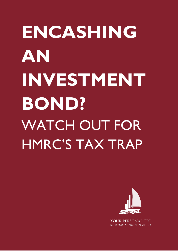## **ENCASHING AN INVESTMENT BOND?** WATCH OUT FOR HMRC'S TAX TRAP



NAVIGATOR FINANCIAL PLANNING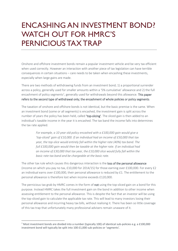## ENCASHING AN INVESTMENT BOND? WATCH OUT FOR HMRC'S PERNICIOUS TAX TRAP

Onshore and offshore investment bonds remain a popular investment vehicle and be very tax efficient when used correctly. However an interaction with another piece of tax legislation can have terrible consequences in certain situations – care needs to be taken when encashing these investments, especially when large gains are made.

There are two methods of withdrawing funds from an investment bond; 1) a proportional surrender across a policy, generally used for smaller amounts within a '5% cumulative' allowance and 2) the full encashment of policy segments<sup>1</sup>, generally used for withdrawals beyond this allowance. This paper refers to the second type of withdrawal only; the encashment of whole policies or policy segments.

The taxation of onshore and offshore bonds is not identical, but the basic premise is the same. When an investment bond (some or all segments) is encashed, the investment gain is split across the number of years the policy has been held, called 'top-slicing'. The sliced gain is then added to an individual's taxable income in the year it is encashed. The tax band the income falls into determines the tax rate applied.

> *For example, a 10 year old policy encashed with a £100,000 gain would give a 'top-sliced' gain of £10,000. If an individual had an income of £50,000 that tax year, the top-slice would entirely fall within the higher rate (40%) tax band. The full £100,000 gain would then be taxable at the higher rate. If an individual had an income of £30,000 that tax year, the £10,000 slice would fully fall within the basic rate tax band and be chargeable at the basic rate.*

The other tax rule which causes this dangerous interaction is the loss of the personal allowance (income on which you pay no tax, £10,000 for 2014/15) for those earning over £100,000. For every £2 an individual earns over £100,000, their personal allowance is reduced by £1. The entitlement to the personal allowance is therefore lost when income exceeds £120,000.

The pernicious tax grab by HMRC comes in the form of not using the top-sliced gain on a bond for this purpose. Instead HMRC takes the full investment gain on the bond in addition to other income when assessing entitlement to the personal allowance. This is despite the fact that an investor will be using the top-sliced gain to calculate the applicable tax rate. This will lead to many investors losing their personal allowance and incurring heavy tax bills, without realising it. There has been so little coverage of this tax trap that unfortunately many professional advisers remain unaware of it.

**.** 

<sup>1</sup> Most investment bonds are divided into a number (typically 100) of identical sub-policies e.g. a £100,000 investment bond will typically be split into 100 £1,000 sub-policies or 'segments'.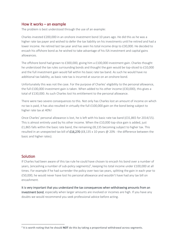## How it works – an example

The problem is best understood through the use of an example:

Charles invested £200,000 in an onshore investment bond 10 years ago. He did this as he was a higher rate tax payer and wished to defer the tax liability on his investments until he retired and had a lower income. He retired last tax year and has seen his total income drop to £30,000. He decided to encash his offshore bond as he wished to take advantage of his ISA investment and capital gains allowances.

The offshore bond had grown to £300,000, giving him a £100,000 investment gain. Charles thought he understood the tax rules surrounding bonds and thought the gain would be top-sliced to £10,000 and the full investment gain would fall within his basic rate tax band. As such he would have no additional tax liability, as basic rate tax is incurred at source on an onshore bond.

Unfortunately this was not the case. For the purpose of Charles' eligibility to the personal allowance, the full £100,000 investment gain is taken. When added to his other income (£30,000), this gives a total of £130,000. As such Charles lost his entitlement to the personal allowance.

There were two severe consequences to this. Not only has Charles lost an amount of income on which no tax is paid, it has also resulted in virtually the full £100,000 gain on the bond being subject to higher rate tax at 40%!

Once Charles' personal allowance is lost, he is left with his basic rate tax band (£31,865 for 2014/15). This is almost entirely used by his other income. When the £10,000 top-slice gain is added, just £1,865 falls within the basic rate band, the remaining  $£8,135$  becoming subject to higher tax. This resulted in an unexpected tax bill of £16,270 (£8,135 x 10 years @ 20% - the difference between the basic and higher rates).

## **Solution**

**.** 

If Charles had been aware of this tax rule he could have chosen to encash his bond over a number of years, (encashing a number of sub-policy segments)<sup>2</sup>, keeping his total income under £100,000 at all times. For example if he had surrender the policy over two tax years, splitting the gain in each year to £50,000, he would never have lost his personal allowance and wouldn't have had any tax bill on encashment.

It is very important that you understand the tax consequences when withdrawing amounts from an investment bond, especially when larger amounts are involved or incomes are high. If you have any doubts we would recommend you seek professional advice before acting.

<sup>2</sup> It is worth noting that he should **NOT** do this by taking a proportional withdrawal across segments.